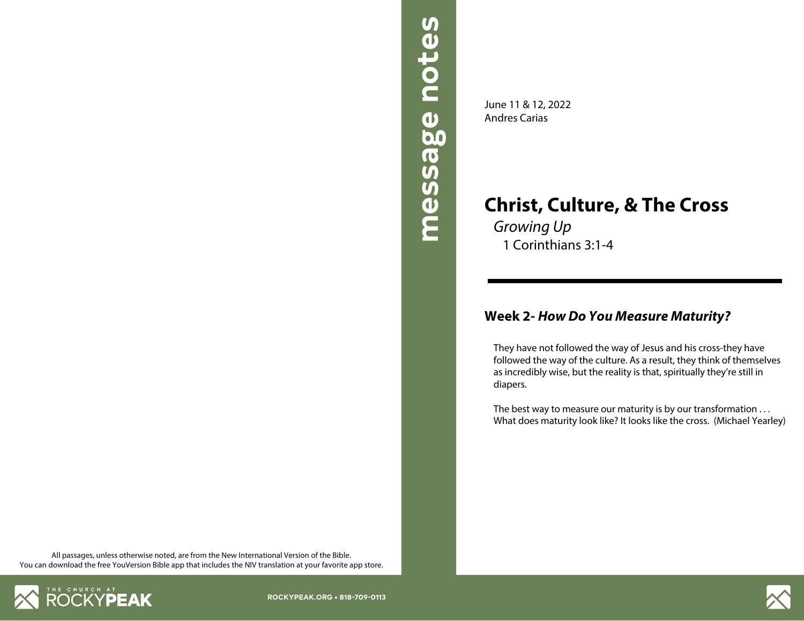

**Christ, Culture, & The Cross**

*Growing Up* 1 Corinthians 3:1-4

June 11 & 12, 2022 Andres Carias

## **Week 2-** *How Do You Measure Maturity?*

They have not followed the way of Jesus and his cross-they have followed the way of the culture. As a result, they think of themselves as incredibly wise, but the reality is that, spiritually they're still in diapers.

The best way to measure our maturity is by our transformation ... What does maturity look like? It looks like the cross. (Michael Yearley)

All passages, unless otherwise noted, are from the New International Version of the Bible. You can download the free YouVersion Bible app that includes the NIV translation at your favorite app store.